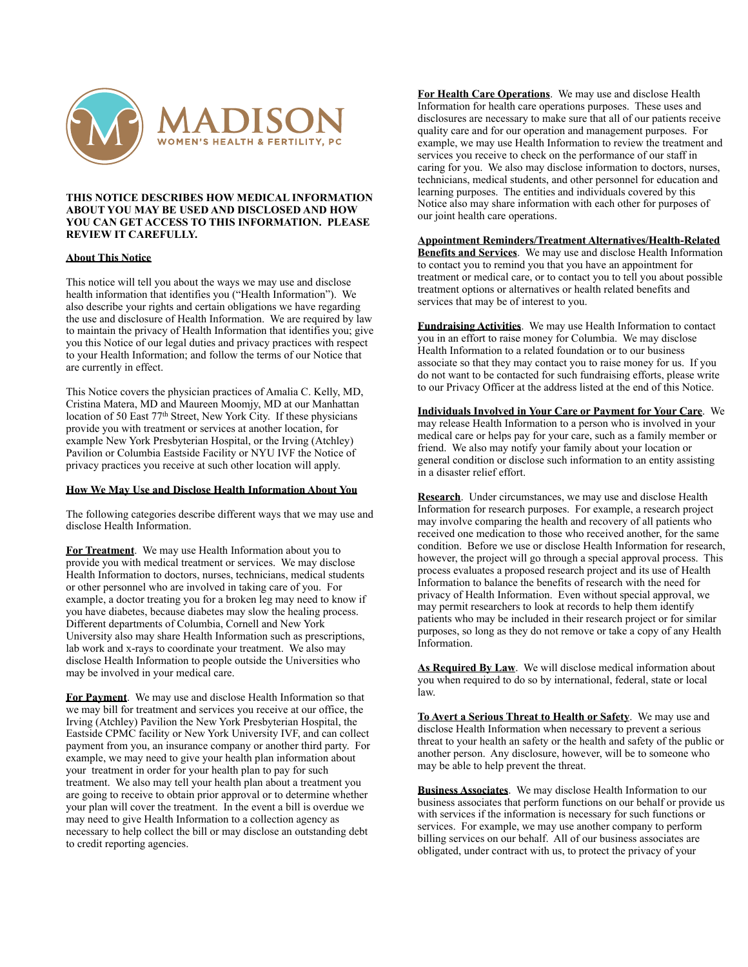

### **THIS NOTICE DESCRIBES HOW MEDICAL INFORMATION ABOUT YOU MAY BE USED AND DISCLOSED AND HOW YOU CAN GET ACCESS TO THIS INFORMATION. PLEASE REVIEW IT CAREFULLY.**

# **About This Notice**

This notice will tell you about the ways we may use and disclose health information that identifies you ("Health Information"). We also describe your rights and certain obligations we have regarding the use and disclosure of Health Information. We are required by law to maintain the privacy of Health Information that identifies you; give you this Notice of our legal duties and privacy practices with respect to your Health Information; and follow the terms of our Notice that are currently in effect.

This Notice covers the physician practices of Amalia C. Kelly, MD, Cristina Matera, MD and Maureen Moomjy, MD at our Manhattan location of 50 East 77<sup>th</sup> Street, New York City. If these physicians provide you with treatment or services at another location, for example New York Presbyterian Hospital, or the Irving (Atchley) Pavilion or Columbia Eastside Facility or NYU IVF the Notice of privacy practices you receive at such other location will apply.

### **How We May Use and Disclose Health Information About You**

The following categories describe different ways that we may use and disclose Health Information.

**For Treatment**. We may use Health Information about you to provide you with medical treatment or services. We may disclose Health Information to doctors, nurses, technicians, medical students or other personnel who are involved in taking care of you. For example, a doctor treating you for a broken leg may need to know if you have diabetes, because diabetes may slow the healing process. Different departments of Columbia, Cornell and New York University also may share Health Information such as prescriptions, lab work and x-rays to coordinate your treatment. We also may disclose Health Information to people outside the Universities who may be involved in your medical care.

**For Payment**. We may use and disclose Health Information so that we may bill for treatment and services you receive at our office, the Irving (Atchley) Pavilion the New York Presbyterian Hospital, the Eastside CPMC facility or New York University IVF, and can collect payment from you, an insurance company or another third party. For example, we may need to give your health plan information about your treatment in order for your health plan to pay for such treatment. We also may tell your health plan about a treatment you are going to receive to obtain prior approval or to determine whether your plan will cover the treatment. In the event a bill is overdue we may need to give Health Information to a collection agency as necessary to help collect the bill or may disclose an outstanding debt to credit reporting agencies.

**For Health Care Operations**. We may use and disclose Health Information for health care operations purposes. These uses and disclosures are necessary to make sure that all of our patients receive quality care and for our operation and management purposes. For example, we may use Health Information to review the treatment and services you receive to check on the performance of our staff in caring for you. We also may disclose information to doctors, nurses, technicians, medical students, and other personnel for education and learning purposes. The entities and individuals covered by this Notice also may share information with each other for purposes of our joint health care operations.

**Appointment Reminders/Treatment Alternatives/Health-Related Benefits and Services**. We may use and disclose Health Information to contact you to remind you that you have an appointment for treatment or medical care, or to contact you to tell you about possible treatment options or alternatives or health related benefits and services that may be of interest to you.

**Fundraising Activities**. We may use Health Information to contact you in an effort to raise money for Columbia. We may disclose Health Information to a related foundation or to our business associate so that they may contact you to raise money for us. If you do not want to be contacted for such fundraising efforts, please write to our Privacy Officer at the address listed at the end of this Notice.

**Individuals Involved in Your Care or Payment for Your Care**. We may release Health Information to a person who is involved in your medical care or helps pay for your care, such as a family member or friend. We also may notify your family about your location or general condition or disclose such information to an entity assisting in a disaster relief effort.

**Research**. Under circumstances, we may use and disclose Health Information for research purposes. For example, a research project may involve comparing the health and recovery of all patients who received one medication to those who received another, for the same condition. Before we use or disclose Health Information for research, however, the project will go through a special approval process. This process evaluates a proposed research project and its use of Health Information to balance the benefits of research with the need for privacy of Health Information. Even without special approval, we may permit researchers to look at records to help them identify patients who may be included in their research project or for similar purposes, so long as they do not remove or take a copy of any Health Information.

**As Required By Law**. We will disclose medical information about you when required to do so by international, federal, state or local law.

**To Avert a Serious Threat to Health or Safety**. We may use and disclose Health Information when necessary to prevent a serious threat to your health an safety or the health and safety of the public or another person. Any disclosure, however, will be to someone who may be able to help prevent the threat.

**Business Associates**. We may disclose Health Information to our business associates that perform functions on our behalf or provide us with services if the information is necessary for such functions or services. For example, we may use another company to perform billing services on our behalf. All of our business associates are obligated, under contract with us, to protect the privacy of your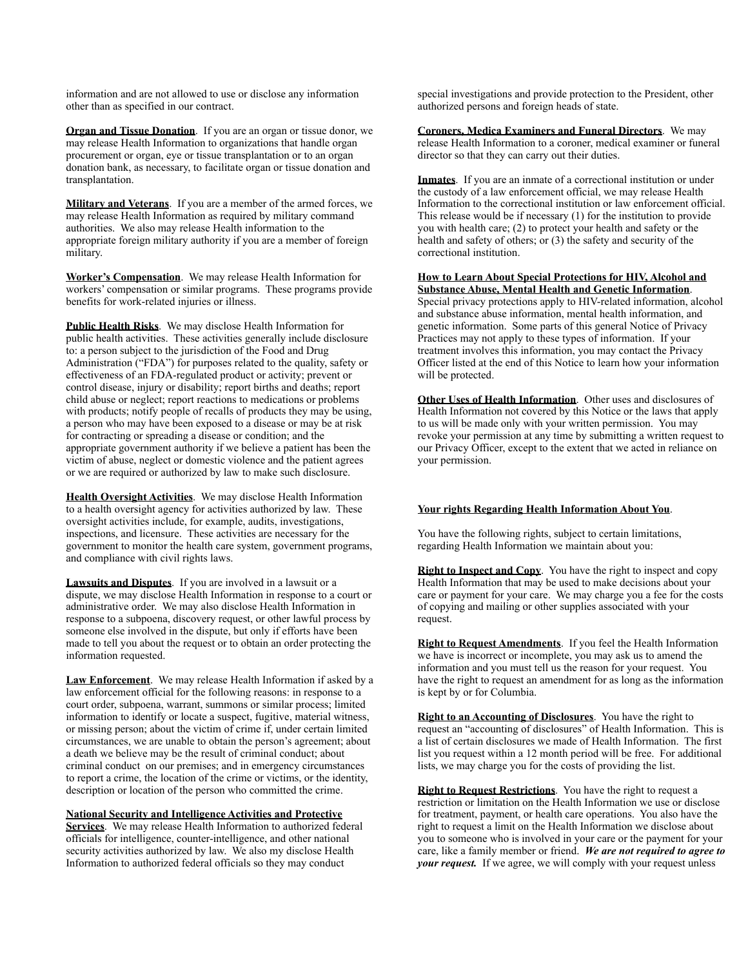information and are not allowed to use or disclose any information other than as specified in our contract.

**Organ and Tissue Donation**. If you are an organ or tissue donor, we may release Health Information to organizations that handle organ procurement or organ, eye or tissue transplantation or to an organ donation bank, as necessary, to facilitate organ or tissue donation and transplantation.

**Military and Veterans**. If you are a member of the armed forces, we may release Health Information as required by military command authorities. We also may release Health information to the appropriate foreign military authority if you are a member of foreign military.

**Worker's Compensation**. We may release Health Information for workers' compensation or similar programs. These programs provide benefits for work-related injuries or illness.

**Public Health Risks**. We may disclose Health Information for public health activities. These activities generally include disclosure to: a person subject to the jurisdiction of the Food and Drug Administration ("FDA") for purposes related to the quality, safety or effectiveness of an FDA-regulated product or activity; prevent or control disease, injury or disability; report births and deaths; report child abuse or neglect; report reactions to medications or problems with products; notify people of recalls of products they may be using, a person who may have been exposed to a disease or may be at risk for contracting or spreading a disease or condition; and the appropriate government authority if we believe a patient has been the victim of abuse, neglect or domestic violence and the patient agrees or we are required or authorized by law to make such disclosure.

**Health Oversight Activities**. We may disclose Health Information to a health oversight agency for activities authorized by law. These oversight activities include, for example, audits, investigations, inspections, and licensure. These activities are necessary for the government to monitor the health care system, government programs, and compliance with civil rights laws.

**Lawsuits and Disputes**. If you are involved in a lawsuit or a dispute, we may disclose Health Information in response to a court or administrative order. We may also disclose Health Information in response to a subpoena, discovery request, or other lawful process by someone else involved in the dispute, but only if efforts have been made to tell you about the request or to obtain an order protecting the information requested.

**Law Enforcement**. We may release Health Information if asked by a law enforcement official for the following reasons: in response to a court order, subpoena, warrant, summons or similar process; limited information to identify or locate a suspect, fugitive, material witness, or missing person; about the victim of crime if, under certain limited circumstances, we are unable to obtain the person's agreement; about a death we believe may be the result of criminal conduct; about criminal conduct on our premises; and in emergency circumstances to report a crime, the location of the crime or victims, or the identity, description or location of the person who committed the crime.

**National Security and Intelligence Activities and Protective Services**. We may release Health Information to authorized federal officials for intelligence, counter-intelligence, and other national security activities authorized by law. We also my disclose Health Information to authorized federal officials so they may conduct

special investigations and provide protection to the President, other authorized persons and foreign heads of state.

**Coroners, Medica Examiners and Funeral Directors**. We may release Health Information to a coroner, medical examiner or funeral director so that they can carry out their duties.

**Inmates**. If you are an inmate of a correctional institution or under the custody of a law enforcement official, we may release Health Information to the correctional institution or law enforcement official. This release would be if necessary (1) for the institution to provide you with health care; (2) to protect your health and safety or the health and safety of others; or (3) the safety and security of the correctional institution.

**How to Learn About Special Protections for HIV, Alcohol and Substance Abuse, Mental Health and Genetic Information**. Special privacy protections apply to HIV-related information, alcohol and substance abuse information, mental health information, and genetic information. Some parts of this general Notice of Privacy Practices may not apply to these types of information. If your treatment involves this information, you may contact the Privacy Officer listed at the end of this Notice to learn how your information will be protected.

**Other Uses of Health Information**. Other uses and disclosures of Health Information not covered by this Notice or the laws that apply to us will be made only with your written permission. You may revoke your permission at any time by submitting a written request to our Privacy Officer, except to the extent that we acted in reliance on your permission.

# **Your rights Regarding Health Information About You**.

You have the following rights, subject to certain limitations, regarding Health Information we maintain about you:

**Right to Inspect and Copy**. You have the right to inspect and copy Health Information that may be used to make decisions about your care or payment for your care. We may charge you a fee for the costs of copying and mailing or other supplies associated with your request.

**Right to Request Amendments**. If you feel the Health Information we have is incorrect or incomplete, you may ask us to amend the information and you must tell us the reason for your request. You have the right to request an amendment for as long as the information is kept by or for Columbia.

**Right to an Accounting of Disclosures**. You have the right to request an "accounting of disclosures" of Health Information. This is a list of certain disclosures we made of Health Information. The first list you request within a 12 month period will be free. For additional lists, we may charge you for the costs of providing the list.

**Right to Request Restrictions**. You have the right to request a restriction or limitation on the Health Information we use or disclose for treatment, payment, or health care operations. You also have the right to request a limit on the Health Information we disclose about you to someone who is involved in your care or the payment for your care, like a family member or friend. *We are not required to agree to your request.* If we agree, we will comply with your request unless